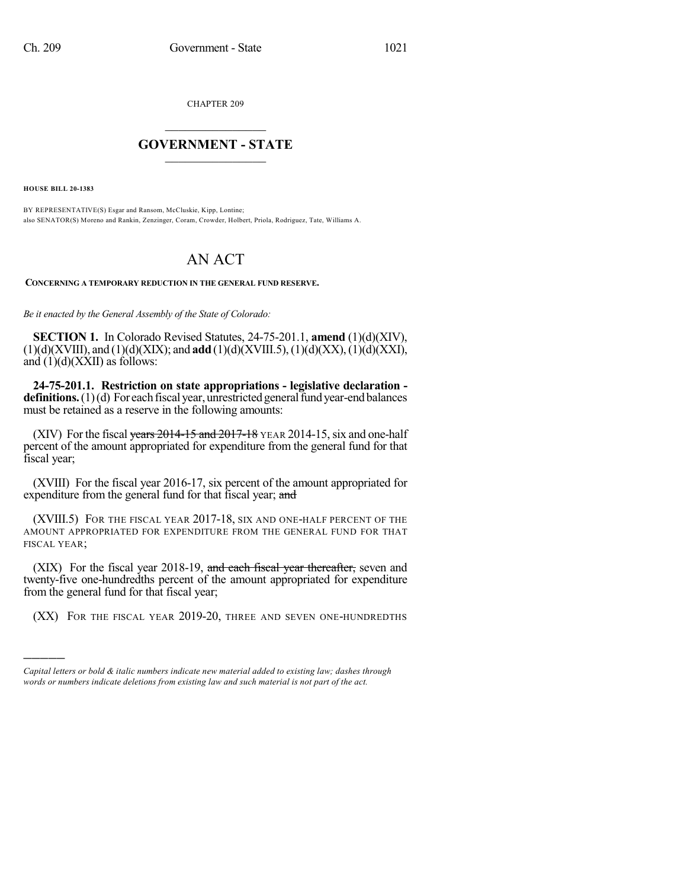CHAPTER 209

## $\mathcal{L}_\text{max}$  . The set of the set of the set of the set of the set of the set of the set of the set of the set of the set of the set of the set of the set of the set of the set of the set of the set of the set of the set **GOVERNMENT - STATE**  $\_$

**HOUSE BILL 20-1383**

)))))

BY REPRESENTATIVE(S) Esgar and Ransom, McCluskie, Kipp, Lontine; also SENATOR(S) Moreno and Rankin, Zenzinger, Coram, Crowder, Holbert, Priola, Rodriguez, Tate, Williams A.

## AN ACT

**CONCERNING A TEMPORARY REDUCTION IN THE GENERAL FUND RESERVE.**

*Be it enacted by the General Assembly of the State of Colorado:*

**SECTION 1.** In Colorado Revised Statutes, 24-75-201.1, **amend** (1)(d)(XIV),  $(1)(d)(XVIII)$ , and  $(1)(d)(XIX)$ ; and **add**  $(1)(d)(XVIII.5)$ ,  $(1)(d)(XX)$ ,  $(1)(d)(XXI)$ , and  $(1)(d)(XXII)$  as follows:

**24-75-201.1. Restriction on state appropriations - legislative declaration definitions.** $(1)(d)$  For each fiscal year, unrestricted general fund year-end balances must be retained as a reserve in the following amounts:

(XIV) For the fiscal years  $2014-15$  and  $2017-18$  YEAR 2014-15, six and one-half percent of the amount appropriated for expenditure from the general fund for that fiscal year;

(XVIII) For the fiscal year 2016-17, six percent of the amount appropriated for expenditure from the general fund for that fiscal year; and

(XVIII.5) FOR THE FISCAL YEAR 2017-18, SIX AND ONE-HALF PERCENT OF THE AMOUNT APPROPRIATED FOR EXPENDITURE FROM THE GENERAL FUND FOR THAT FISCAL YEAR;

(XIX) For the fiscal year 2018-19, and each fiscal year thereafter, seven and twenty-five one-hundredths percent of the amount appropriated for expenditure from the general fund for that fiscal year;

(XX) FOR THE FISCAL YEAR 2019-20, THREE AND SEVEN ONE-HUNDREDTHS

*Capital letters or bold & italic numbers indicate new material added to existing law; dashes through words or numbers indicate deletions from existing law and such material is not part of the act.*